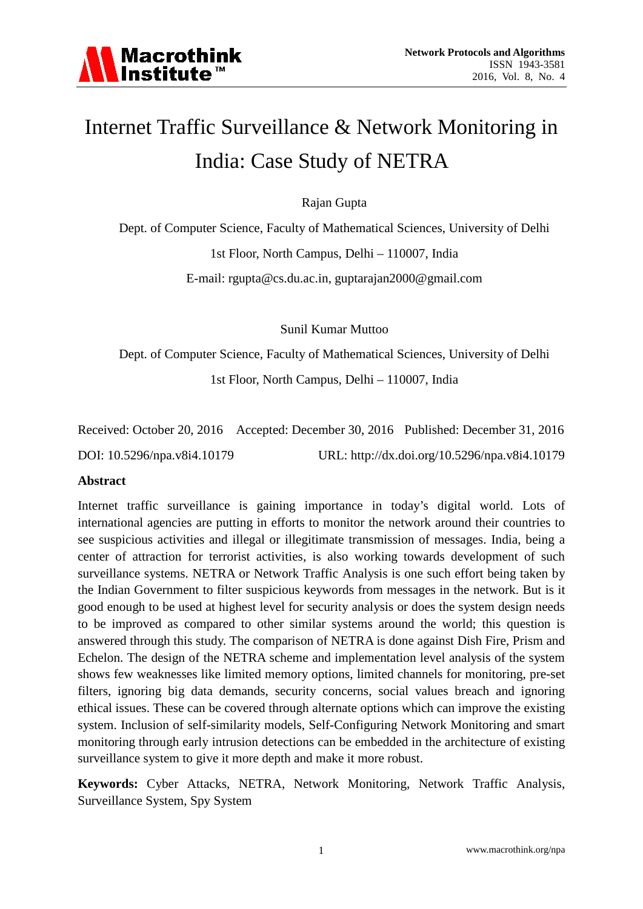

## Internet Traffic Surveillance & Network Monitoring in India: Case Study of NETRA

Rajan Gupta

Dept. of Computer Science, Faculty of Mathematical Sciences, University of Delhi

1st Floor, North Campus, Delhi – 110007, India

E-mail: rgupta@cs.du.ac.in, guptarajan2000@gmail.com

Sunil Kumar Muttoo

Dept. of Computer Science, Faculty of Mathematical Sciences, University of Delhi 1st Floor, North Campus, Delhi – 110007, India

Received: October 20, 2016 Accepted: December 30, 2016 Published: December 31, 2016

DOI: 10.5296/npa.v8i4.10179 URL: http://dx.doi.org/10.5296/npa.v8i4.10179

#### **Abstract**

Internet traffic surveillance is gaining importance in today's digital world. Lots of international agencies are putting in efforts to monitor the network around their countries to see suspicious activities and illegal or illegitimate transmission of messages. India, being a center of attraction for terrorist activities, is also working towards development of such surveillance systems. NETRA or Network Traffic Analysis is one such effort being taken by the Indian Government to filter suspicious keywords from messages in the network. But is it good enough to be used at highest level for security analysis or does the system design needs to be improved as compared to other similar systems around the world; this question is answered through this study. The comparison of NETRA is done against Dish Fire, Prism and Echelon. The design of the NETRA scheme and implementation level analysis of the system shows few weaknesses like limited memory options, limited channels for monitoring, pre-set filters, ignoring big data demands, security concerns, social values breach and ignoring ethical issues. These can be covered through alternate options which can improve the existing system. Inclusion of self-similarity models, Self-Configuring Network Monitoring and smart monitoring through early intrusion detections can be embedded in the architecture of existing surveillance system to give it more depth and make it more robust.

**Keywords:** Cyber Attacks, NETRA, Network Monitoring, Network Traffic Analysis, Surveillance System, Spy System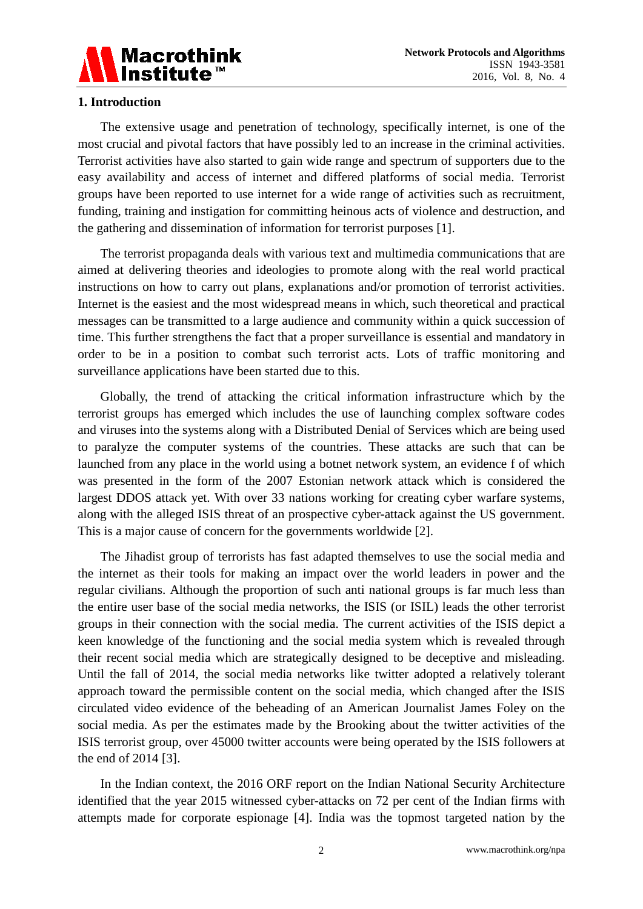

#### **1. Introduction**

The extensive usage and penetration of technology, specifically internet, is one of the most crucial and pivotal factors that have possibly led to an increase in the criminal activities. Terrorist activities have also started to gain wide range and spectrum of supporters due to the easy availability and access of internet and differed platforms of social media. Terrorist groups have been reported to use internet for a wide range of activities such as recruitment, funding, training and instigation for committing heinous acts of violence and destruction, and the gathering and dissemination of information for terrorist purposes [1].

The terrorist propaganda deals with various text and multimedia communications that are aimed at delivering theories and ideologies to promote along with the real world practical instructions on how to carry out plans, explanations and/or promotion of terrorist activities. Internet is the easiest and the most widespread means in which, such theoretical and practical messages can be transmitted to a large audience and community within a quick succession of time. This further strengthens the fact that a proper surveillance is essential and mandatory in order to be in a position to combat such terrorist acts. Lots of traffic monitoring and surveillance applications have been started due to this.

Globally, the trend of attacking the critical information infrastructure which by the terrorist groups has emerged which includes the use of launching complex software codes and viruses into the systems along with a Distributed Denial of Services which are being used to paralyze the computer systems of the countries. These attacks are such that can be launched from any place in the world using a botnet network system, an evidence f of which was presented in the form of the 2007 Estonian network attack which is considered the largest DDOS attack yet. With over 33 nations working for creating cyber warfare systems, along with the alleged ISIS threat of an prospective cyber-attack against the US government. This is a major cause of concern for the governments worldwide [2].

The Jihadist group of terrorists has fast adapted themselves to use the social media and the internet as their tools for making an impact over the world leaders in power and the regular civilians. Although the proportion of such anti national groups is far much less than the entire user base of the social media networks, the ISIS (or ISIL) leads the other terrorist groups in their connection with the social media. The current activities of the ISIS depict a keen knowledge of the functioning and the social media system which is revealed through their recent social media which are strategically designed to be deceptive and misleading. Until the fall of 2014, the social media networks like twitter adopted a relatively tolerant approach toward the permissible content on the social media, which changed after the ISIS circulated video evidence of the beheading of an American Journalist James Foley on the social media. As per the estimates made by the Brooking about the twitter activities of the ISIS terrorist group, over 45000 twitter accounts were being operated by the ISIS followers at the end of 2014 [3].

In the Indian context, the 2016 ORF report on the Indian National Security Architecture identified that the year 2015 witnessed cyber-attacks on 72 per cent of the Indian firms with attempts made for corporate espionage [4]. India was the topmost targeted nation by the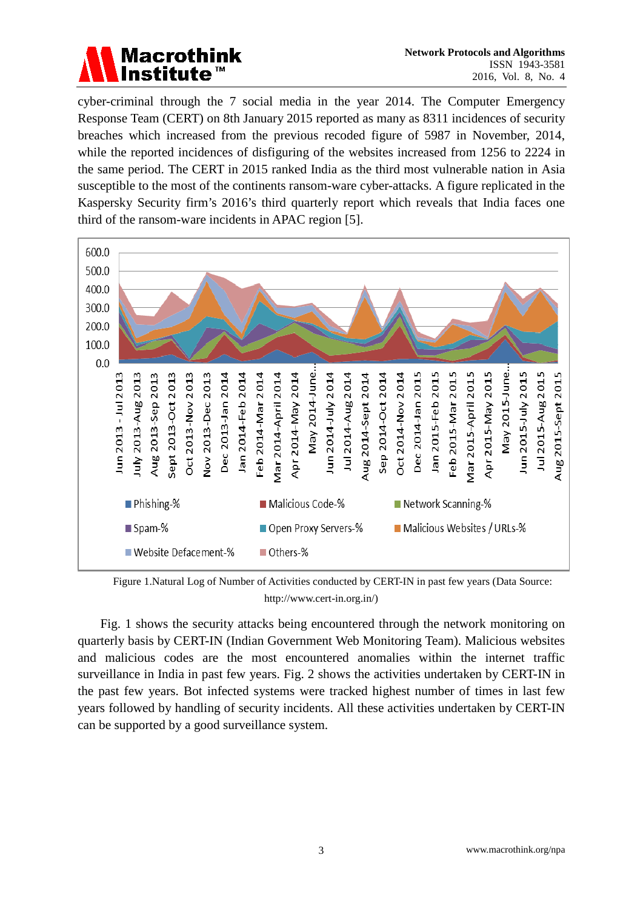

cyber-criminal through the 7 social media in the year 2014. The Computer Emergency Response Team (CERT) on 8th January 2015 reported as many as 8311 incidences of security breaches which increased from the previous recoded figure of 5987 in November, 2014, while the reported incidences of disfiguring of the websites increased from 1256 to 2224 in the same period. The CERT in 2015 ranked India as the third most vulnerable nation in Asia susceptible to the most of the continents ransom-ware cyber-attacks. A figure replicated in the Kaspersky Security firm's 2016's third quarterly report which reveals that India faces one third of the ransom-ware incidents in APAC region [5].



Figure 1.Natural Log of Number of Activities conducted by CERT-IN in past few years (Data Source: http://www.cert-in.org.in/)

Fig. 1 shows the security attacks being encountered through the network monitoring on quarterly basis by CERT-IN (Indian Government Web Monitoring Team). Malicious websites and malicious codes are the most encountered anomalies within the internet traffic surveillance in India in past few years. Fig. 2 shows the activities undertaken by CERT-IN in the past few years. Bot infected systems were tracked highest number of times in last few years followed by handling of security incidents. All these activities undertaken by CERT-IN can be supported by a good surveillance system.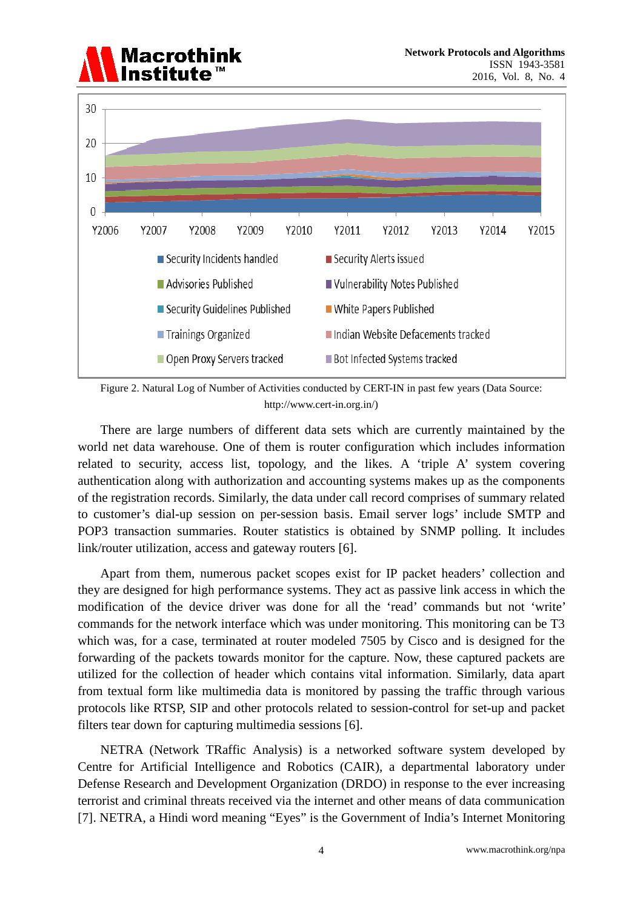



Figure 2. Natural Log of Number of Activities conducted by CERT-IN in past few years (Data Source: http://www.cert-in.org.in/)

There are large numbers of different data sets which are currently maintained by the world net data warehouse. One of them is router configuration which includes information related to security, access list, topology, and the likes. A 'triple A' system covering authentication along with authorization and accounting systems makes up as the components of the registration records. Similarly, the data under call record comprises of summary related to customer's dial-up session on per-session basis. Email server logs' include SMTP and POP3 transaction summaries. Router statistics is obtained by SNMP polling. It includes link/router utilization, access and gateway routers [6].

Apart from them, numerous packet scopes exist for IP packet headers' collection and they are designed for high performance systems. They act as passive link access in which the modification of the device driver was done for all the 'read' commands but not 'write' commands for the network interface which was under monitoring. This monitoring can be T3 which was, for a case, terminated at router modeled 7505 by Cisco and is designed for the forwarding of the packets towards monitor for the capture. Now, these captured packets are utilized for the collection of header which contains vital information. Similarly, data apart from textual form like multimedia data is monitored by passing the traffic through various protocols like RTSP, SIP and other protocols related to session-control for set-up and packet filters tear down for capturing multimedia sessions [6].

NETRA (Network TRaffic Analysis) is a networked software system developed by Centre for Artificial Intelligence and Robotics (CAIR), a departmental laboratory under Defense Research and Development Organization (DRDO) in response to the ever increasing terrorist and criminal threats received via the internet and other means of data communication [7]. NETRA, a Hindi word meaning "Eyes" is the Government of India's Internet Monitoring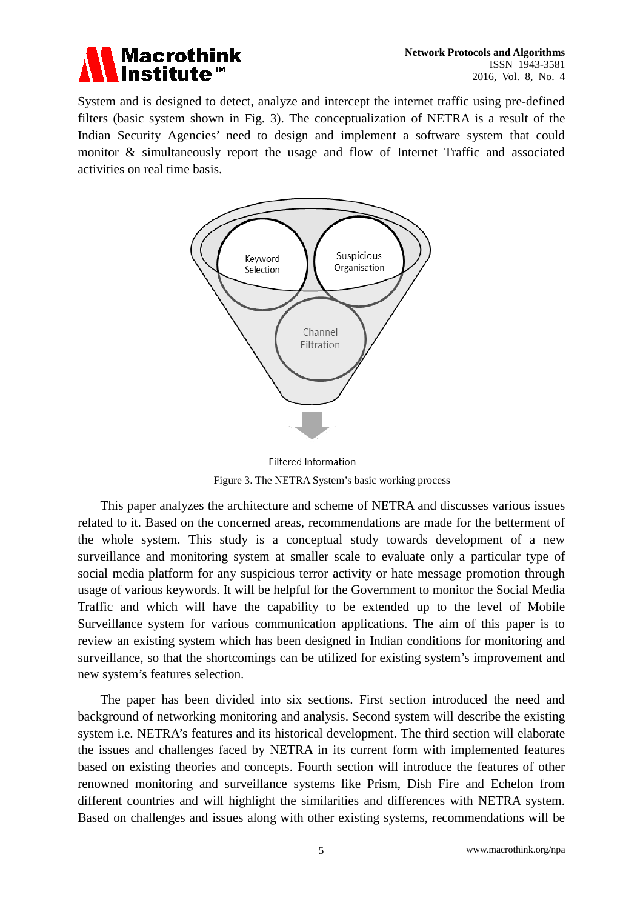

System and is designed to detect, analyze and intercept the internet traffic using pre-defined filters (basic system shown in Fig. 3). The conceptualization of NETRA is a result of the Indian Security Agencies' need to design and implement a software system that could monitor & simultaneously report the usage and flow of Internet Traffic and associated activities on real time basis.



**Filtered Information** Figure 3. The NETRA System's basic working process

This paper analyzes the architecture and scheme of NETRA and discusses various issues related to it. Based on the concerned areas, recommendations are made for the betterment of the whole system. This study is a conceptual study towards development of a new surveillance and monitoring system at smaller scale to evaluate only a particular type of social media platform for any suspicious terror activity or hate message promotion through usage of various keywords. It will be helpful for the Government to monitor the Social Media Traffic and which will have the capability to be extended up to the level of Mobile Surveillance system for various communication applications. The aim of this paper is to review an existing system which has been designed in Indian conditions for monitoring and surveillance, so that the shortcomings can be utilized for existing system's improvement and new system's features selection.

The paper has been divided into six sections. First section introduced the need and background of networking monitoring and analysis. Second system will describe the existing system i.e. NETRA's features and its historical development. The third section will elaborate the issues and challenges faced by NETRA in its current form with implemented features based on existing theories and concepts. Fourth section will introduce the features of other renowned monitoring and surveillance systems like Prism, Dish Fire and Echelon from different countries and will highlight the similarities and differences with NETRA system. Based on challenges and issues along with other existing systems, recommendations will be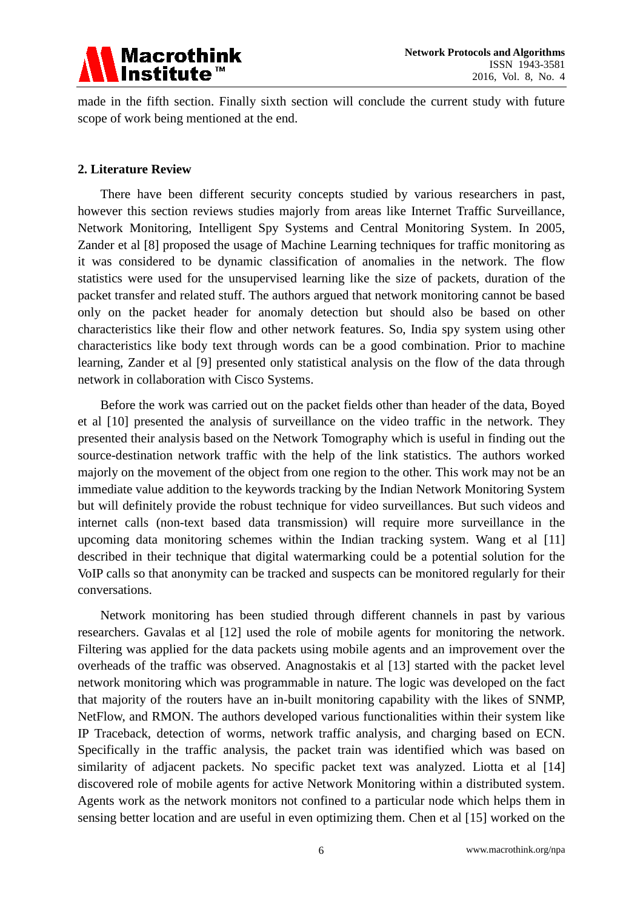

made in the fifth section. Finally sixth section will conclude the current study with future scope of work being mentioned at the end.

#### **2. Literature Review**

There have been different security concepts studied by various researchers in past, however this section reviews studies majorly from areas like Internet Traffic Surveillance, Network Monitoring, Intelligent Spy Systems and Central Monitoring System. In 2005, Zander et al [8] proposed the usage of Machine Learning techniques for traffic monitoring as it was considered to be dynamic classification of anomalies in the network. The flow statistics were used for the unsupervised learning like the size of packets, duration of the packet transfer and related stuff. The authors argued that network monitoring cannot be based only on the packet header for anomaly detection but should also be based on other characteristics like their flow and other network features. So, India spy system using other characteristics like body text through words can be a good combination. Prior to machine learning, Zander et al [9] presented only statistical analysis on the flow of the data through network in collaboration with Cisco Systems.

Before the work was carried out on the packet fields other than header of the data, Boyed et al [10] presented the analysis of surveillance on the video traffic in the network. They presented their analysis based on the Network Tomography which is useful in finding out the source-destination network traffic with the help of the link statistics. The authors worked majorly on the movement of the object from one region to the other. This work may not be an immediate value addition to the keywords tracking by the Indian Network Monitoring System but will definitely provide the robust technique for video surveillances. But such videos and internet calls (non-text based data transmission) will require more surveillance in the upcoming data monitoring schemes within the Indian tracking system. Wang et al [11] described in their technique that digital watermarking could be a potential solution for the VoIP calls so that anonymity can be tracked and suspects can be monitored regularly for their conversations.

Network monitoring has been studied through different channels in past by various researchers. Gavalas et al [12] used the role of mobile agents for monitoring the network. Filtering was applied for the data packets using mobile agents and an improvement over the overheads of the traffic was observed. Anagnostakis et al [13] started with the packet level network monitoring which was programmable in nature. The logic was developed on the fact that majority of the routers have an in-built monitoring capability with the likes of SNMP, NetFlow, and RMON. The authors developed various functionalities within their system like IP Traceback, detection of worms, network traffic analysis, and charging based on ECN. Specifically in the traffic analysis, the packet train was identified which was based on similarity of adjacent packets. No specific packet text was analyzed. Liotta et al [14] discovered role of mobile agents for active Network Monitoring within a distributed system. Agents work as the network monitors not confined to a particular node which helps them in sensing better location and are useful in even optimizing them. Chen et al [15] worked on the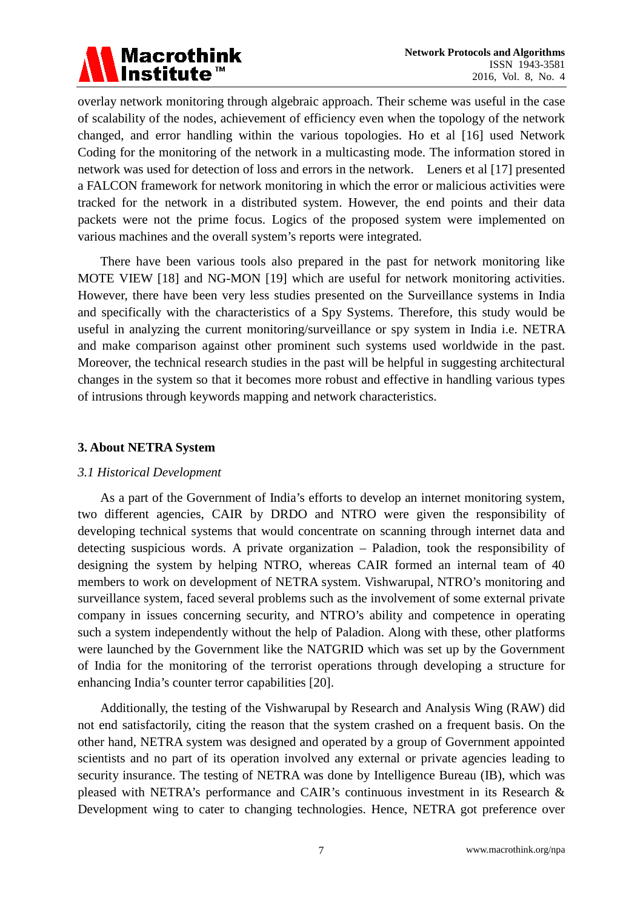

overlay network monitoring through algebraic approach. Their scheme was useful in the case of scalability of the nodes, achievement of efficiency even when the topology of the network changed, and error handling within the various topologies. Ho et al [16] used Network Coding for the monitoring of the network in a multicasting mode. The information stored in network was used for detection of loss and errors in the network. Leners et al [17] presented a FALCON framework for network monitoring in which the error or malicious activities were tracked for the network in a distributed system. However, the end points and their data packets were not the prime focus. Logics of the proposed system were implemented on various machines and the overall system's reports were integrated.

There have been various tools also prepared in the past for network monitoring like MOTE VIEW [18] and NG-MON [19] which are useful for network monitoring activities. However, there have been very less studies presented on the Surveillance systems in India and specifically with the characteristics of a Spy Systems. Therefore, this study would be useful in analyzing the current monitoring/surveillance or spy system in India i.e. NETRA and make comparison against other prominent such systems used worldwide in the past. Moreover, the technical research studies in the past will be helpful in suggesting architectural changes in the system so that it becomes more robust and effective in handling various types of intrusions through keywords mapping and network characteristics.

#### **3. About NETRA System**

#### *3.1 Historical Development*

As a part of the Government of India's efforts to develop an internet monitoring system, two different agencies, CAIR by DRDO and NTRO were given the responsibility of developing technical systems that would concentrate on scanning through internet data and detecting suspicious words. A private organization – Paladion, took the responsibility of designing the system by helping NTRO, whereas CAIR formed an internal team of 40 members to work on development of NETRA system. Vishwarupal, NTRO's monitoring and surveillance system, faced several problems such as the involvement of some external private company in issues concerning security, and NTRO's ability and competence in operating such a system independently without the help of Paladion. Along with these, other platforms were launched by the Government like the NATGRID which was set up by the Government of India for the monitoring of the terrorist operations through developing a structure for enhancing India's counter terror capabilities [20].

Additionally, the testing of the Vishwarupal by Research and Analysis Wing (RAW) did not end satisfactorily, citing the reason that the system crashed on a frequent basis. On the other hand, NETRA system was designed and operated by a group of Government appointed scientists and no part of its operation involved any external or private agencies leading to security insurance. The testing of NETRA was done by Intelligence Bureau (IB), which was pleased with NETRA's performance and CAIR's continuous investment in its Research & Development wing to cater to changing technologies. Hence, NETRA got preference over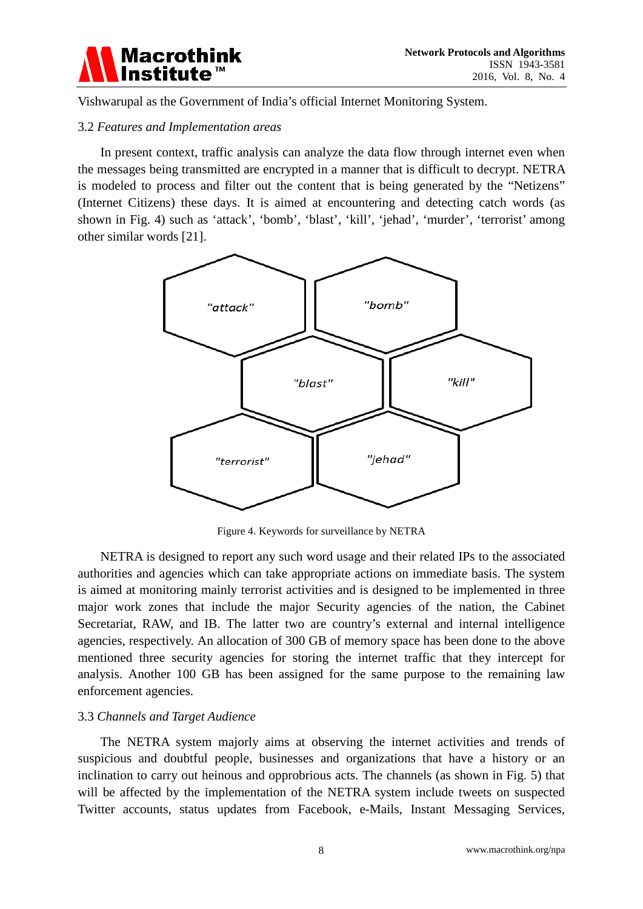

Vishwarupal as the Government of India's official Internet Monitoring System.

#### 3.2 *Features and Implementation areas*

In present context, traffic analysis can analyze the data flow through internet even when the messages being transmitted are encrypted in a manner that is difficult to decrypt. NETRA is modeled to process and filter out the content that is being generated by the "Netizens" (Internet Citizens) these days. It is aimed at encountering and detecting catch words (as shown in Fig. 4) such as 'attack', 'bomb', 'blast', 'kill', 'jehad', 'murder', 'terrorist' among other similar words [21].



Figure 4. Keywords for surveillance by NETRA

NETRA is designed to report any such word usage and their related IPs to the associated authorities and agencies which can take appropriate actions on immediate basis. The system is aimed at monitoring mainly terrorist activities and is designed to be implemented in three major work zones that include the major Security agencies of the nation, the Cabinet Secretariat, RAW, and IB. The latter two are country's external and internal intelligence agencies, respectively. An allocation of 300 GB of memory space has been done to the above mentioned three security agencies for storing the internet traffic that they intercept for analysis. Another 100 GB has been assigned for the same purpose to the remaining law enforcement agencies.

#### 3.3 *Channels and Target Audience*

The NETRA system majorly aims at observing the internet activities and trends of suspicious and doubtful people, businesses and organizations that have a history or an inclination to carry out heinous and opprobrious acts. The channels (as shown in Fig. 5) that will be affected by the implementation of the NETRA system include tweets on suspected Twitter accounts, status updates from Facebook, e-Mails, Instant Messaging Services,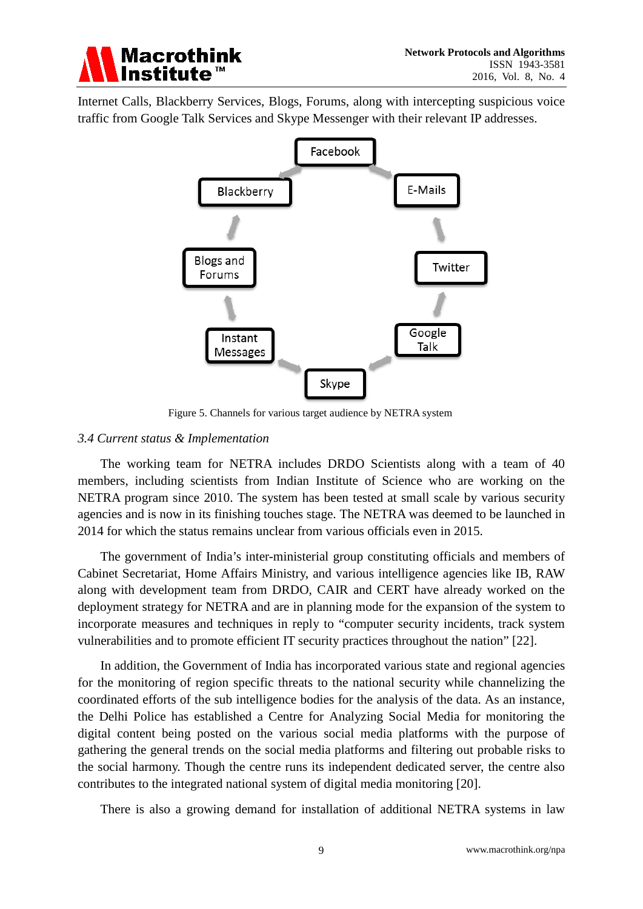

Internet Calls, Blackberry Services, Blogs, Forums, along with intercepting suspicious voice traffic from Google Talk Services and Skype Messenger with their relevant IP addresses.



Figure 5. Channels for various target audience by NETRA system

#### *3.4 Current status & Implementation*

The working team for NETRA includes DRDO Scientists along with a team of 40 members, including scientists from Indian Institute of Science who are working on the NETRA program since 2010. The system has been tested at small scale by various security agencies and is now in its finishing touches stage. The NETRA was deemed to be launched in 2014 for which the status remains unclear from various officials even in 2015.

The government of India's inter-ministerial group constituting officials and members of Cabinet Secretariat, Home Affairs Ministry, and various intelligence agencies like IB, RAW along with development team from DRDO, CAIR and CERT have already worked on the deployment strategy for NETRA and are in planning mode for the expansion of the system to incorporate measures and techniques in reply to "computer security incidents, track system vulnerabilities and to promote efficient IT security practices throughout the nation" [22].

In addition, the Government of India has incorporated various state and regional agencies for the monitoring of region specific threats to the national security while channelizing the coordinated efforts of the sub intelligence bodies for the analysis of the data. As an instance, the Delhi Police has established a Centre for Analyzing Social Media for monitoring the digital content being posted on the various social media platforms with the purpose of gathering the general trends on the social media platforms and filtering out probable risks to the social harmony. Though the centre runs its independent dedicated server, the centre also contributes to the integrated national system of digital media monitoring [20].

There is also a growing demand for installation of additional NETRA systems in law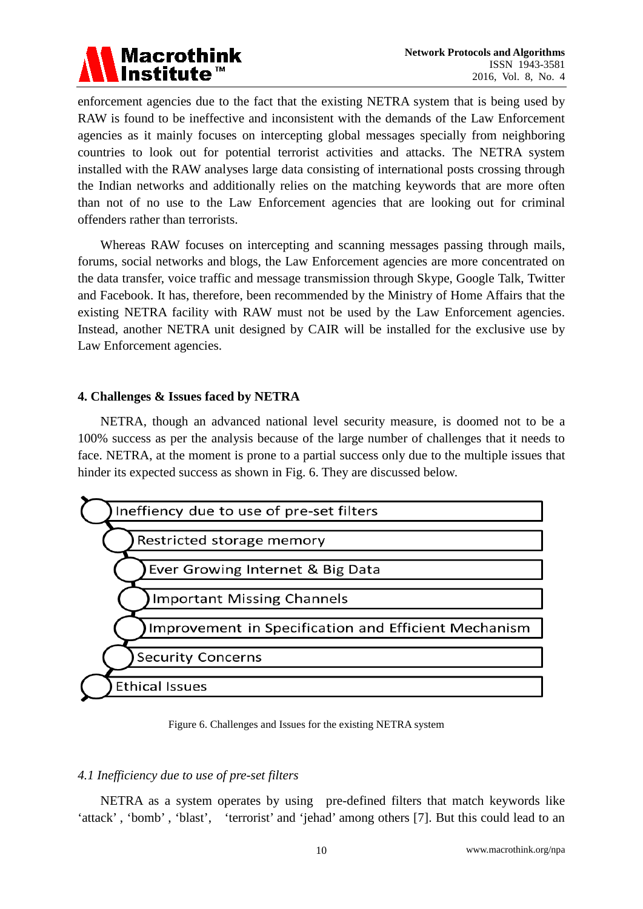

enforcement agencies due to the fact that the existing NETRA system that is being used by RAW is found to be ineffective and inconsistent with the demands of the Law Enforcement agencies as it mainly focuses on intercepting global messages specially from neighboring countries to look out for potential terrorist activities and attacks. The NETRA system installed with the RAW analyses large data consisting of international posts crossing through the Indian networks and additionally relies on the matching keywords that are more often than not of no use to the Law Enforcement agencies that are looking out for criminal offenders rather than terrorists.

Whereas RAW focuses on intercepting and scanning messages passing through mails, forums, social networks and blogs, the Law Enforcement agencies are more concentrated on the data transfer, voice traffic and message transmission through Skype, Google Talk, Twitter and Facebook. It has, therefore, been recommended by the Ministry of Home Affairs that the existing NETRA facility with RAW must not be used by the Law Enforcement agencies. Instead, another NETRA unit designed by CAIR will be installed for the exclusive use by Law Enforcement agencies.

#### **4. Challenges & Issues faced by NETRA**

NETRA, though an advanced national level security measure, is doomed not to be a 100% success as per the analysis because of the large number of challenges that it needs to face. NETRA, at the moment is prone to a partial success only due to the multiple issues that hinder its expected success as shown in Fig. 6. They are discussed below.



Figure 6. Challenges and Issues for the existing NETRA system

#### *4.1 Inefficiency due to use of pre-set filters*

NETRA as a system operates by using pre-defined filters that match keywords like 'attack' , 'bomb' , 'blast', 'terrorist' and 'jehad' among others [7]. But this could lead to an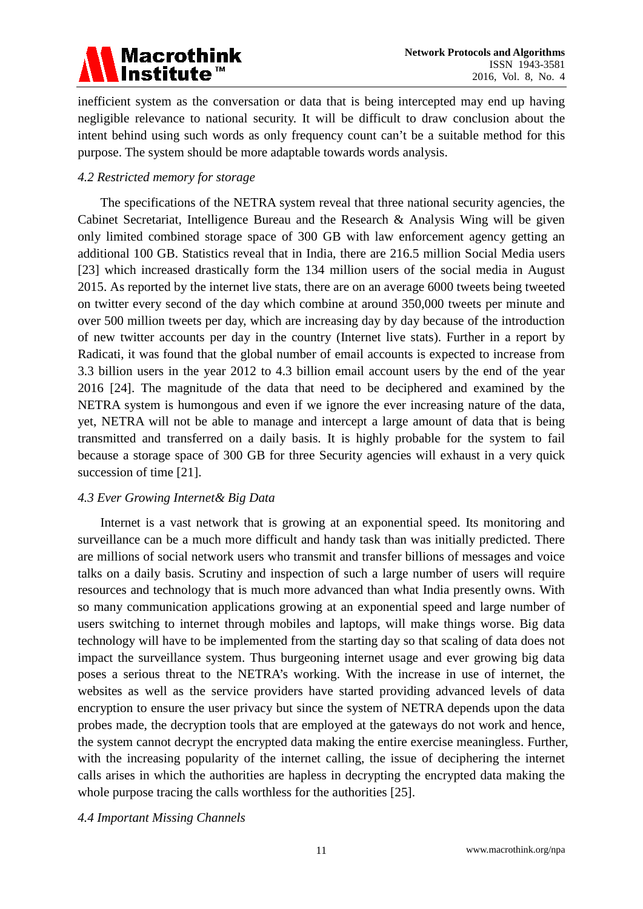

inefficient system as the conversation or data that is being intercepted may end up having negligible relevance to national security. It will be difficult to draw conclusion about the intent behind using such words as only frequency count can't be a suitable method for this purpose. The system should be more adaptable towards words analysis.

#### *4.2 Restricted memory for storage*

The specifications of the NETRA system reveal that three national security agencies, the Cabinet Secretariat, Intelligence Bureau and the Research & Analysis Wing will be given only limited combined storage space of 300 GB with law enforcement agency getting an additional 100 GB. Statistics reveal that in India, there are 216.5 million Social Media users [23] which increased drastically form the 134 million users of the social media in August 2015. As reported by the internet live stats, there are on an average 6000 tweets being tweeted on twitter every second of the day which combine at around 350,000 tweets per minute and over 500 million tweets per day, which are increasing day by day because of the introduction of new twitter accounts per day in the country (Internet live stats). Further in a report by Radicati, it was found that the global number of email accounts is expected to increase from 3.3 billion users in the year 2012 to 4.3 billion email account users by the end of the year 2016 [24]. The magnitude of the data that need to be deciphered and examined by the NETRA system is humongous and even if we ignore the ever increasing nature of the data, yet, NETRA will not be able to manage and intercept a large amount of data that is being transmitted and transferred on a daily basis. It is highly probable for the system to fail because a storage space of 300 GB for three Security agencies will exhaust in a very quick succession of time [21].

#### *4.3 Ever Growing Internet& Big Data*

Internet is a vast network that is growing at an exponential speed. Its monitoring and surveillance can be a much more difficult and handy task than was initially predicted. There are millions of social network users who transmit and transfer billions of messages and voice talks on a daily basis. Scrutiny and inspection of such a large number of users will require resources and technology that is much more advanced than what India presently owns. With so many communication applications growing at an exponential speed and large number of users switching to internet through mobiles and laptops, will make things worse. Big data technology will have to be implemented from the starting day so that scaling of data does not impact the surveillance system. Thus burgeoning internet usage and ever growing big data poses a serious threat to the NETRA's working. With the increase in use of internet, the websites as well as the service providers have started providing advanced levels of data encryption to ensure the user privacy but since the system of NETRA depends upon the data probes made, the decryption tools that are employed at the gateways do not work and hence, the system cannot decrypt the encrypted data making the entire exercise meaningless. Further, with the increasing popularity of the internet calling, the issue of deciphering the internet calls arises in which the authorities are hapless in decrypting the encrypted data making the whole purpose tracing the calls worthless for the authorities [25].

*4.4 Important Missing Channels*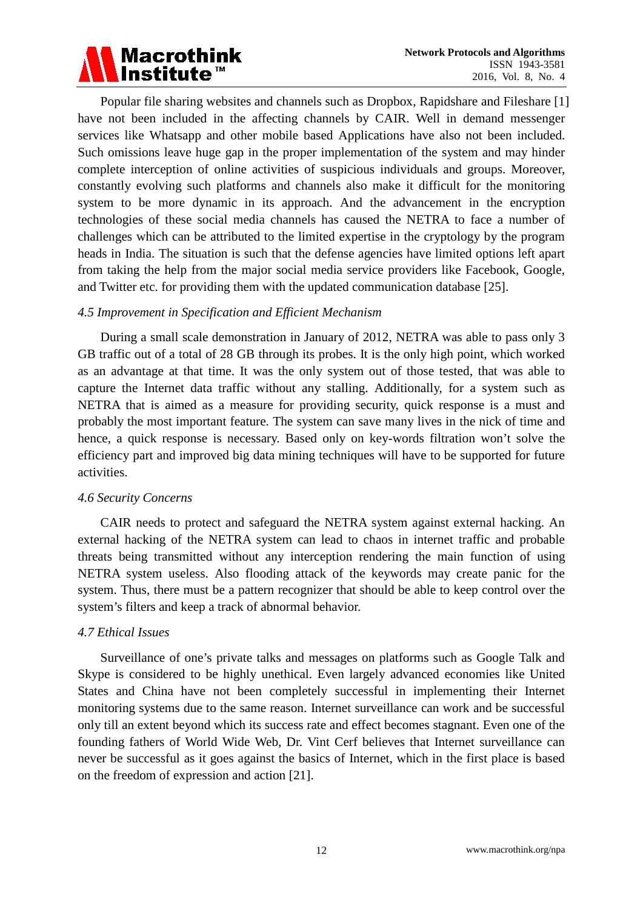

Popular file sharing websites and channels such as Dropbox, Rapidshare and Fileshare [1] have not been included in the affecting channels by CAIR. Well in demand messenger services like Whatsapp and other mobile based Applications have also not been included. Such omissions leave huge gap in the proper implementation of the system and may hinder complete interception of online activities of suspicious individuals and groups. Moreover, constantly evolving such platforms and channels also make it difficult for the monitoring system to be more dynamic in its approach. And the advancement in the encryption technologies of these social media channels has caused the NETRA to face a number of challenges which can be attributed to the limited expertise in the cryptology by the program heads in India. The situation is such that the defense agencies have limited options left apart from taking the help from the major social media service providers like Facebook, Google, and Twitter etc. for providing them with the updated communication database [25].

#### *4.5 Improvement in Specification and Efficient Mechanism*

During a small scale demonstration in January of 2012, NETRA was able to pass only 3 GB traffic out of a total of 28 GB through its probes. It is the only high point, which worked as an advantage at that time. It was the only system out of those tested, that was able to capture the Internet data traffic without any stalling. Additionally, for a system such as NETRA that is aimed as a measure for providing security, quick response is a must and probably the most important feature. The system can save many lives in the nick of time and hence, a quick response is necessary. Based only on key-words filtration won't solve the efficiency part and improved big data mining techniques will have to be supported for future activities.

#### *4.6 Security Concerns*

CAIR needs to protect and safeguard the NETRA system against external hacking. An external hacking of the NETRA system can lead to chaos in internet traffic and probable threats being transmitted without any interception rendering the main function of using NETRA system useless. Also flooding attack of the keywords may create panic for the system. Thus, there must be a pattern recognizer that should be able to keep control over the system's filters and keep a track of abnormal behavior.

#### *4.7 Ethical Issues*

Surveillance of one's private talks and messages on platforms such as Google Talk and Skype is considered to be highly unethical. Even largely advanced economies like United States and China have not been completely successful in implementing their Internet monitoring systems due to the same reason. Internet surveillance can work and be successful only till an extent beyond which its success rate and effect becomes stagnant. Even one of the founding fathers of World Wide Web, Dr. Vint Cerf believes that Internet surveillance can never be successful as it goes against the basics of Internet, which in the first place is based on the freedom of expression and action [21].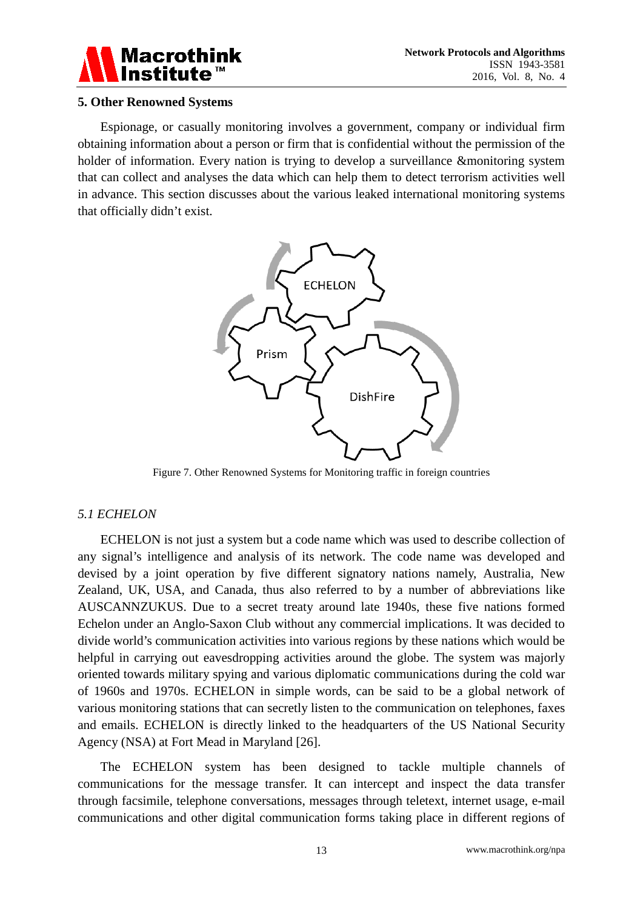

#### **5. Other Renowned Systems**

Espionage, or casually monitoring involves a government, company or individual firm obtaining information about a person or firm that is confidential without the permission of the holder of information. Every nation is trying to develop a surveillance &monitoring system that can collect and analyses the data which can help them to detect terrorism activities well in advance. This section discusses about the various leaked international monitoring systems that officially didn't exist.



Figure 7. Other Renowned Systems for Monitoring traffic in foreign countries

#### *5.1 ECHELON*

ECHELON is not just a system but a code name which was used to describe collection of any signal's intelligence and analysis of its network. The code name was developed and devised by a joint operation by five different signatory nations namely, Australia, New Zealand, UK, USA, and Canada, thus also referred to by a number of abbreviations like AUSCANNZUKUS. Due to a secret treaty around late 1940s, these five nations formed Echelon under an Anglo-Saxon Club without any commercial implications. It was decided to divide world's communication activities into various regions by these nations which would be helpful in carrying out eavesdropping activities around the globe. The system was majorly oriented towards military spying and various diplomatic communications during the cold war of 1960s and 1970s. ECHELON in simple words, can be said to be a global network of various monitoring stations that can secretly listen to the communication on telephones, faxes and emails. ECHELON is directly linked to the headquarters of the US National Security Agency (NSA) at Fort Mead in Maryland [26].

The ECHELON system has been designed to tackle multiple channels of communications for the message transfer. It can intercept and inspect the data transfer through facsimile, telephone conversations, messages through teletext, internet usage, e-mail communications and other digital communication forms taking place in different regions of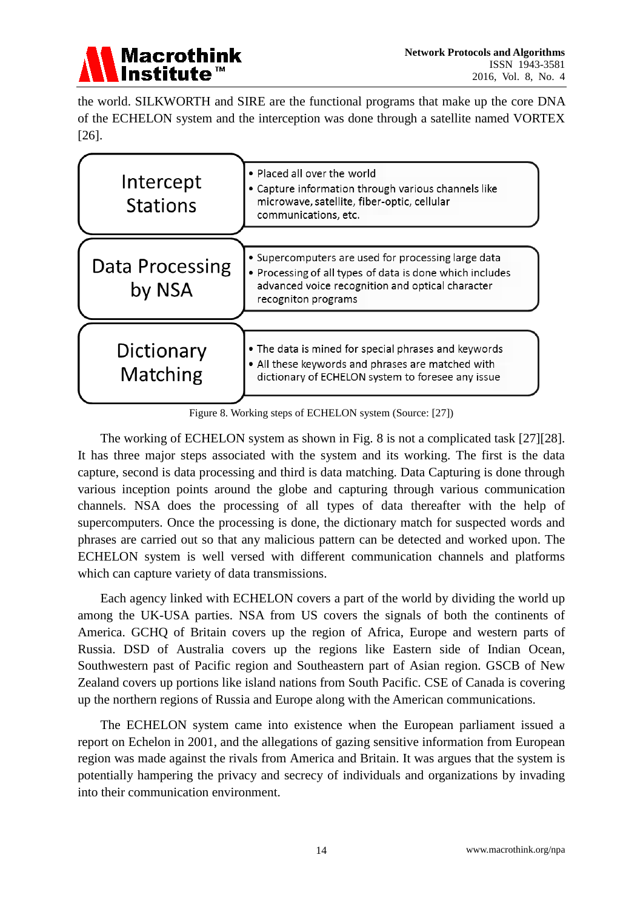

the world. SILKWORTH and SIRE are the functional programs that make up the core DNA of the ECHELON system and the interception was done through a satellite named VORTEX [26].



Figure 8. Working steps of ECHELON system (Source: [27])

The working of ECHELON system as shown in Fig. 8 is not a complicated task [27][28]. It has three major steps associated with the system and its working. The first is the data capture, second is data processing and third is data matching. Data Capturing is done through various inception points around the globe and capturing through various communication channels. NSA does the processing of all types of data thereafter with the help of supercomputers. Once the processing is done, the dictionary match for suspected words and phrases are carried out so that any malicious pattern can be detected and worked upon. The ECHELON system is well versed with different communication channels and platforms which can capture variety of data transmissions.

Each agency linked with ECHELON covers a part of the world by dividing the world up among the UK-USA parties. NSA from US covers the signals of both the continents of America. GCHQ of Britain covers up the region of Africa, Europe and western parts of Russia. DSD of Australia covers up the regions like Eastern side of Indian Ocean, Southwestern past of Pacific region and Southeastern part of Asian region. GSCB of New Zealand covers up portions like island nations from South Pacific. CSE of Canada is covering up the northern regions of Russia and Europe along with the American communications.

The ECHELON system came into existence when the European parliament issued a report on Echelon in 2001, and the allegations of gazing sensitive information from European region was made against the rivals from America and Britain. It was argues that the system is potentially hampering the privacy and secrecy of individuals and organizations by invading into their communication environment.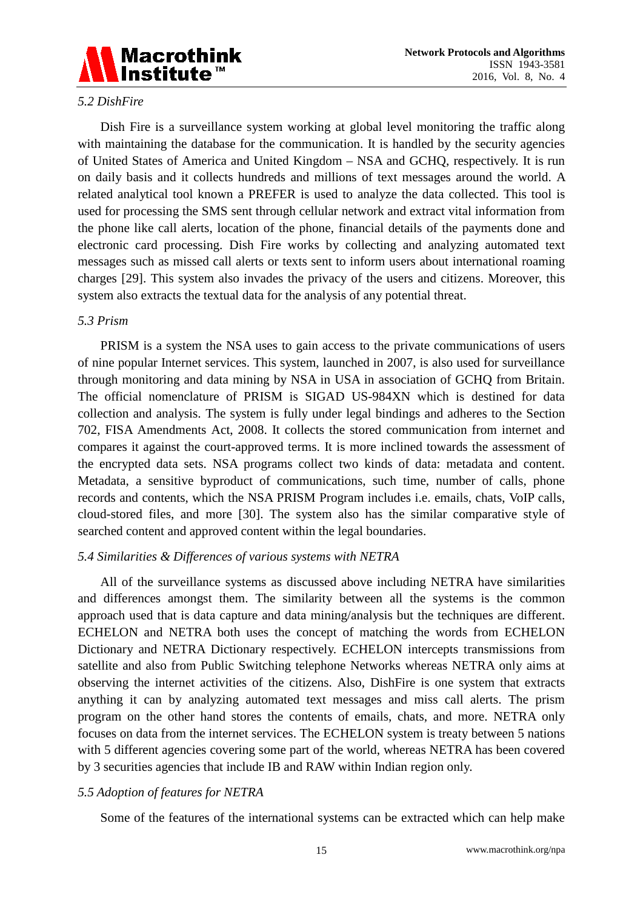

#### *5.2 DishFire*

Dish Fire is a surveillance system working at global level monitoring the traffic along with maintaining the database for the communication. It is handled by the security agencies of United States of America and United Kingdom – NSA and GCHQ, respectively. It is run on daily basis and it collects hundreds and millions of text messages around the world. A related analytical tool known a PREFER is used to analyze the data collected. This tool is used for processing the SMS sent through cellular network and extract vital information from the phone like call alerts, location of the phone, financial details of the payments done and electronic card processing. Dish Fire works by collecting and analyzing automated text messages such as missed call alerts or texts sent to inform users about international roaming charges [29]. This system also invades the privacy of the users and citizens. Moreover, this system also extracts the textual data for the analysis of any potential threat.

#### *5.3 Prism*

PRISM is a system the NSA uses to gain access to the private communications of users of nine popular Internet services. This system, launched in 2007, is also used for surveillance through monitoring and data mining by NSA in USA in association of GCHQ from Britain. The official nomenclature of PRISM is SIGAD US-984XN which is destined for data collection and analysis. The system is fully under legal bindings and adheres to the Section 702, FISA Amendments Act, 2008. It collects the stored communication from internet and compares it against the court-approved terms. It is more inclined towards the assessment of the encrypted data sets. NSA programs collect two kinds of data: metadata and content. Metadata, a sensitive byproduct of communications, such time, number of calls, phone records and contents, which the NSA PRISM Program includes i.e. emails, chats, VoIP calls, cloud-stored files, and more [30]. The system also has the similar comparative style of searched content and approved content within the legal boundaries.

#### *5.4 Similarities & Differences of various systems with NETRA*

All of the surveillance systems as discussed above including NETRA have similarities and differences amongst them. The similarity between all the systems is the common approach used that is data capture and data mining/analysis but the techniques are different. ECHELON and NETRA both uses the concept of matching the words from ECHELON Dictionary and NETRA Dictionary respectively. ECHELON intercepts transmissions from satellite and also from Public Switching telephone Networks whereas NETRA only aims at observing the internet activities of the citizens. Also, DishFire is one system that extracts anything it can by analyzing automated text messages and miss call alerts. The prism program on the other hand stores the contents of emails, chats, and more. NETRA only focuses on data from the internet services. The ECHELON system is treaty between 5 nations with 5 different agencies covering some part of the world, whereas NETRA has been covered by 3 securities agencies that include IB and RAW within Indian region only.

#### *5.5 Adoption of features for NETRA*

Some of the features of the international systems can be extracted which can help make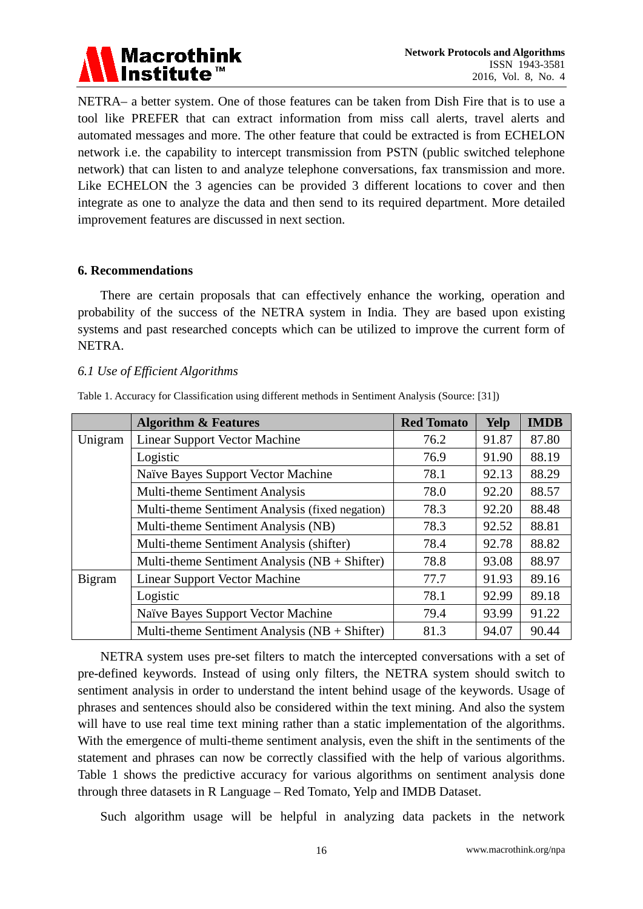

NETRA– a better system. One of those features can be taken from Dish Fire that is to use a tool like PREFER that can extract information from miss call alerts, travel alerts and automated messages and more. The other feature that could be extracted is from ECHELON network i.e. the capability to intercept transmission from PSTN (public switched telephone network) that can listen to and analyze telephone conversations, fax transmission and more. Like ECHELON the 3 agencies can be provided 3 different locations to cover and then integrate as one to analyze the data and then send to its required department. More detailed improvement features are discussed in next section.

#### **6. Recommendations**

There are certain proposals that can effectively enhance the working, operation and probability of the success of the NETRA system in India. They are based upon existing systems and past researched concepts which can be utilized to improve the current form of NETRA.

#### *6.1 Use of Efficient Algorithms*

Table 1. Accuracy for Classification using different methods in Sentiment Analysis (Source: [31])

|               | <b>Algorithm &amp; Features</b>                 | <b>Red Tomato</b> | Yelp  | <b>IMDB</b> |
|---------------|-------------------------------------------------|-------------------|-------|-------------|
| Unigram       | <b>Linear Support Vector Machine</b>            | 76.2              | 91.87 | 87.80       |
|               | Logistic                                        | 76.9              | 91.90 | 88.19       |
|               | Naïve Bayes Support Vector Machine              | 78.1              | 92.13 | 88.29       |
|               | Multi-theme Sentiment Analysis                  | 78.0              | 92.20 | 88.57       |
|               | Multi-theme Sentiment Analysis (fixed negation) | 78.3              | 92.20 | 88.48       |
|               | Multi-theme Sentiment Analysis (NB)             | 78.3              | 92.52 | 88.81       |
|               | Multi-theme Sentiment Analysis (shifter)        | 78.4              | 92.78 | 88.82       |
|               | Multi-theme Sentiment Analysis $(NB + Shifter)$ | 78.8              | 93.08 | 88.97       |
| <b>Bigram</b> | <b>Linear Support Vector Machine</b>            | 77.7              | 91.93 | 89.16       |
|               | Logistic                                        | 78.1              | 92.99 | 89.18       |
|               | Naïve Bayes Support Vector Machine              | 79.4              | 93.99 | 91.22       |
|               | Multi-theme Sentiment Analysis $(NB + Shifter)$ | 81.3              | 94.07 | 90.44       |

NETRA system uses pre-set filters to match the intercepted conversations with a set of pre-defined keywords. Instead of using only filters, the NETRA system should switch to sentiment analysis in order to understand the intent behind usage of the keywords. Usage of phrases and sentences should also be considered within the text mining. And also the system will have to use real time text mining rather than a static implementation of the algorithms. With the emergence of multi-theme sentiment analysis, even the shift in the sentiments of the statement and phrases can now be correctly classified with the help of various algorithms. Table 1 shows the predictive accuracy for various algorithms on sentiment analysis done through three datasets in R Language – Red Tomato, Yelp and IMDB Dataset.

Such algorithm usage will be helpful in analyzing data packets in the network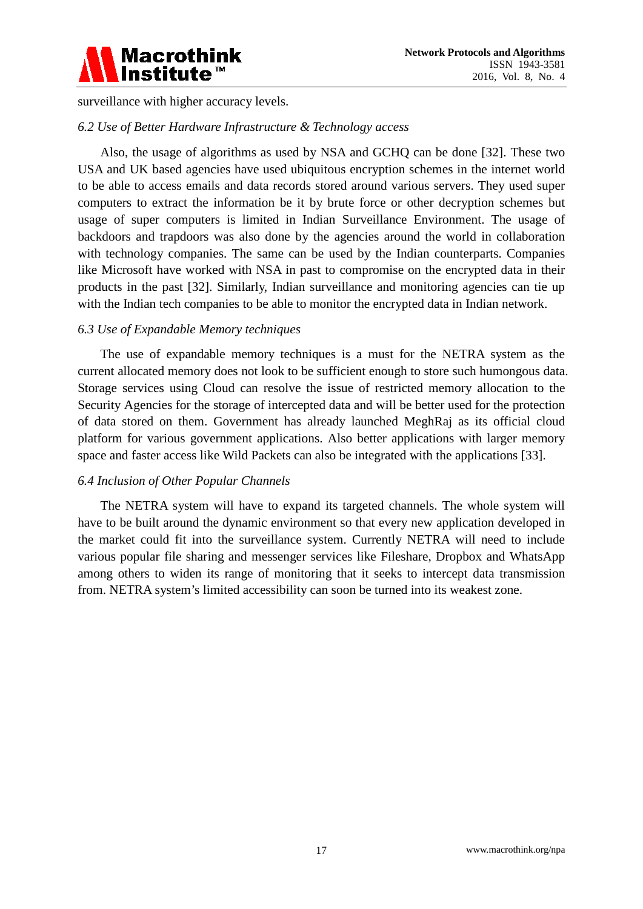

surveillance with higher accuracy levels.

#### *6.2 Use of Better Hardware Infrastructure & Technology access*

Also, the usage of algorithms as used by NSA and GCHQ can be done [32]. These two USA and UK based agencies have used ubiquitous encryption schemes in the internet world to be able to access emails and data records stored around various servers. They used super computers to extract the information be it by brute force or other decryption schemes but usage of super computers is limited in Indian Surveillance Environment. The usage of backdoors and trapdoors was also done by the agencies around the world in collaboration with technology companies. The same can be used by the Indian counterparts. Companies like Microsoft have worked with NSA in past to compromise on the encrypted data in their products in the past [32]. Similarly, Indian surveillance and monitoring agencies can tie up with the Indian tech companies to be able to monitor the encrypted data in Indian network.

#### *6.3 Use of Expandable Memory techniques*

The use of expandable memory techniques is a must for the NETRA system as the current allocated memory does not look to be sufficient enough to store such humongous data. Storage services using Cloud can resolve the issue of restricted memory allocation to the Security Agencies for the storage of intercepted data and will be better used for the protection of data stored on them. Government has already launched MeghRaj as its official cloud platform for various government applications. Also better applications with larger memory space and faster access like Wild Packets can also be integrated with the applications [33].

#### *6.4 Inclusion of Other Popular Channels*

The NETRA system will have to expand its targeted channels. The whole system will have to be built around the dynamic environment so that every new application developed in the market could fit into the surveillance system. Currently NETRA will need to include various popular file sharing and messenger services like Fileshare, Dropbox and WhatsApp among others to widen its range of monitoring that it seeks to intercept data transmission from. NETRA system's limited accessibility can soon be turned into its weakest zone.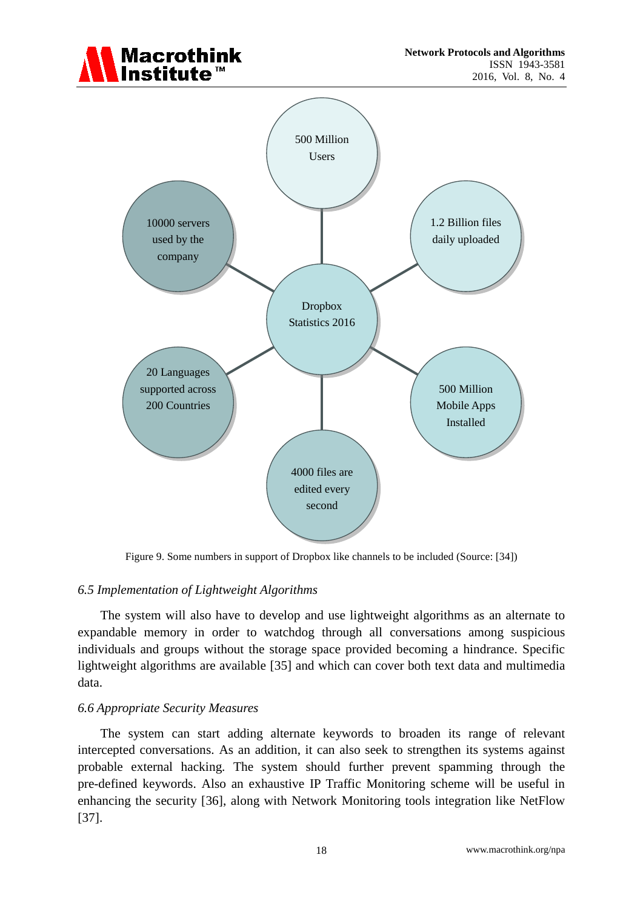



Figure 9. Some numbers in support of Dropbox like channels to be included (Source: [34])

#### *6.5 Implementation of Lightweight Algorithms*

The system will also have to develop and use lightweight algorithms as an alternate to expandable memory in order to watchdog through all conversations among suspicious individuals and groups without the storage space provided becoming a hindrance. Specific lightweight algorithms are available [35] and which can cover both text data and multimedia data.

#### *6.6 Appropriate Security Measures*

The system can start adding alternate keywords to broaden its range of relevant intercepted conversations. As an addition, it can also seek to strengthen its systems against probable external hacking. The system should further prevent spamming through the pre-defined keywords. Also an exhaustive IP Traffic Monitoring scheme will be useful in enhancing the security [36], along with Network Monitoring tools integration like NetFlow [37].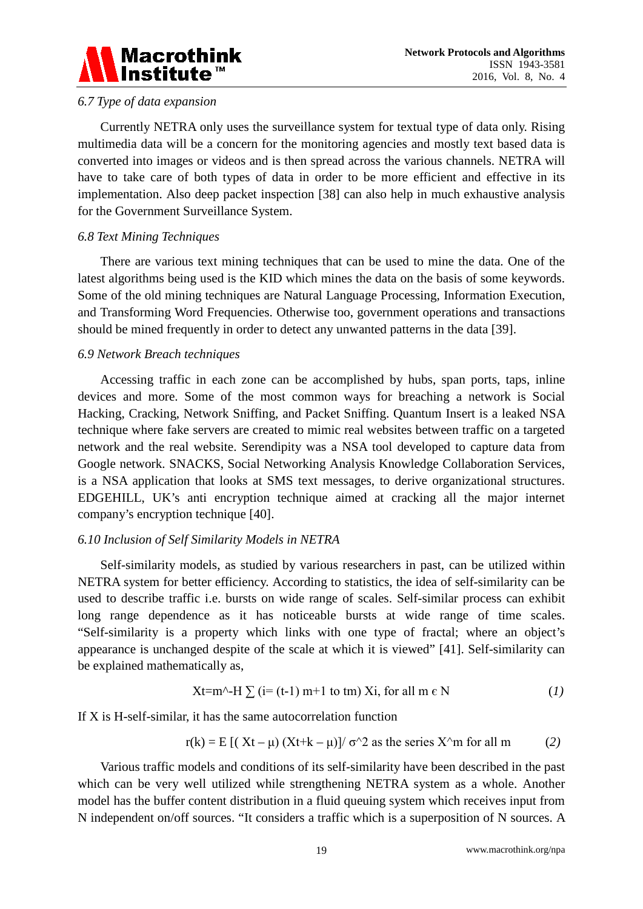

#### *6.7 Type of data expansion*

Currently NETRA only uses the surveillance system for textual type of data only. Rising multimedia data will be a concern for the monitoring agencies and mostly text based data is converted into images or videos and is then spread across the various channels. NETRA will have to take care of both types of data in order to be more efficient and effective in its implementation. Also deep packet inspection [38] can also help in much exhaustive analysis for the Government Surveillance System.

#### *6.8 Text Mining Techniques*

There are various text mining techniques that can be used to mine the data. One of the latest algorithms being used is the KID which mines the data on the basis of some keywords. Some of the old mining techniques are Natural Language Processing, Information Execution, and Transforming Word Frequencies. Otherwise too, government operations and transactions should be mined frequently in order to detect any unwanted patterns in the data [39].

#### *6.9 Network Breach techniques*

Accessing traffic in each zone can be accomplished by hubs, span ports, taps, inline devices and more. Some of the most common ways for breaching a network is Social Hacking, Cracking, Network Sniffing, and Packet Sniffing. Quantum Insert is a leaked NSA technique where fake servers are created to mimic real websites between traffic on a targeted network and the real website. Serendipity was a NSA tool developed to capture data from Google network. SNACKS, Social Networking Analysis Knowledge Collaboration Services, is a NSA application that looks at SMS text messages, to derive organizational structures. EDGEHILL, UK's anti encryption technique aimed at cracking all the major internet company's encryption technique [40].

#### *6.10 Inclusion of Self Similarity Models in NETRA*

Self-similarity models, as studied by various researchers in past, can be utilized within NETRA system for better efficiency. According to statistics, the idea of self-similarity can be used to describe traffic i.e. bursts on wide range of scales. Self-similar process can exhibit long range dependence as it has noticeable bursts at wide range of time scales. "Self-similarity is a property which links with one type of fractal; where an object's appearance is unchanged despite of the scale at which it is viewed" [41]. Self-similarity can be explained mathematically as,

$$
Xt=m^{\Lambda} - H \sum (i = (t-1) m+1 \text{ to } t m) Xi, \text{ for all } m \in N
$$
 (1)

If X is H-self-similar, it has the same autocorrelation function

$$
r(k) = E [(Xt - \mu) (Xt + k - \mu)] / \sigma^2
$$
 as the series X<sup>^</sup>m for all m (2)

Various traffic models and conditions of its self-similarity have been described in the past which can be very well utilized while strengthening NETRA system as a whole. Another model has the buffer content distribution in a fluid queuing system which receives input from N independent on/off sources. "It considers a traffic which is a superposition of N sources. A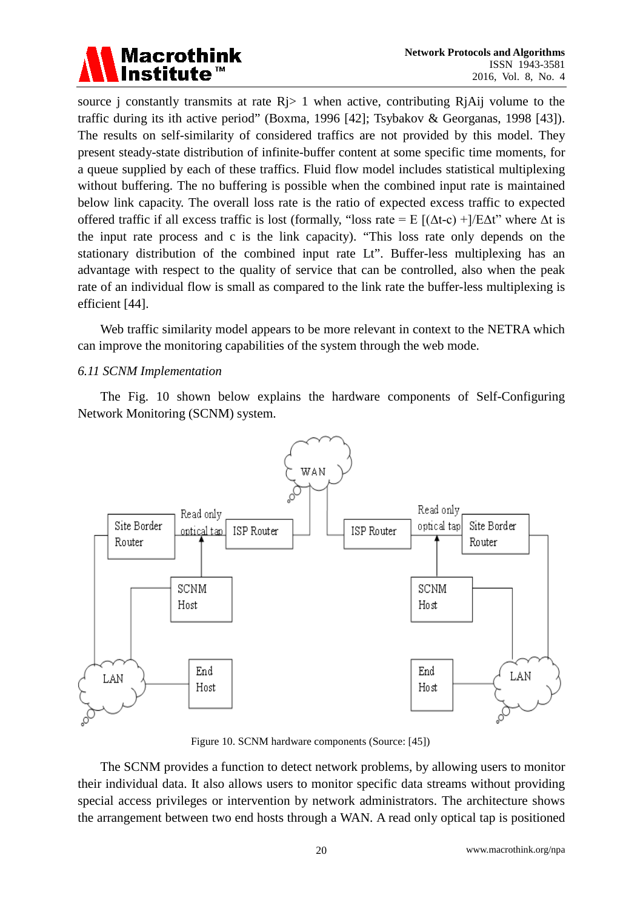

source j constantly transmits at rate  $R$ j $> 1$  when active, contributing RjAij volume to the traffic during its ith active period" (Boxma, 1996 [42]; Tsybakov & Georganas, 1998 [43]). The results on self-similarity of considered traffics are not provided by this model. They present steady-state distribution of infinite-buffer content at some specific time moments, for a queue supplied by each of these traffics. Fluid flow model includes statistical multiplexing without buffering. The no buffering is possible when the combined input rate is maintained below link capacity. The overall loss rate is the ratio of expected excess traffic to expected offered traffic if all excess traffic is lost (formally, "loss rate =  $E[(\Delta t-c) +]/E\Delta t$ " where  $\Delta t$  is the input rate process and c is the link capacity). "This loss rate only depends on the stationary distribution of the combined input rate Lt". Buffer-less multiplexing has an advantage with respect to the quality of service that can be controlled, also when the peak rate of an individual flow is small as compared to the link rate the buffer-less multiplexing is efficient [44].

Web traffic similarity model appears to be more relevant in context to the NETRA which can improve the monitoring capabilities of the system through the web mode.

#### *6.11 SCNM Implementation*

The Fig. 10 shown below explains the hardware components of Self-Configuring Network Monitoring (SCNM) system.



Figure 10. SCNM hardware components (Source: [45])

The SCNM provides a function to detect network problems, by allowing users to monitor their individual data. It also allows users to monitor specific data streams without providing special access privileges or intervention by network administrators. The architecture shows the arrangement between two end hosts through a WAN. A read only optical tap is positioned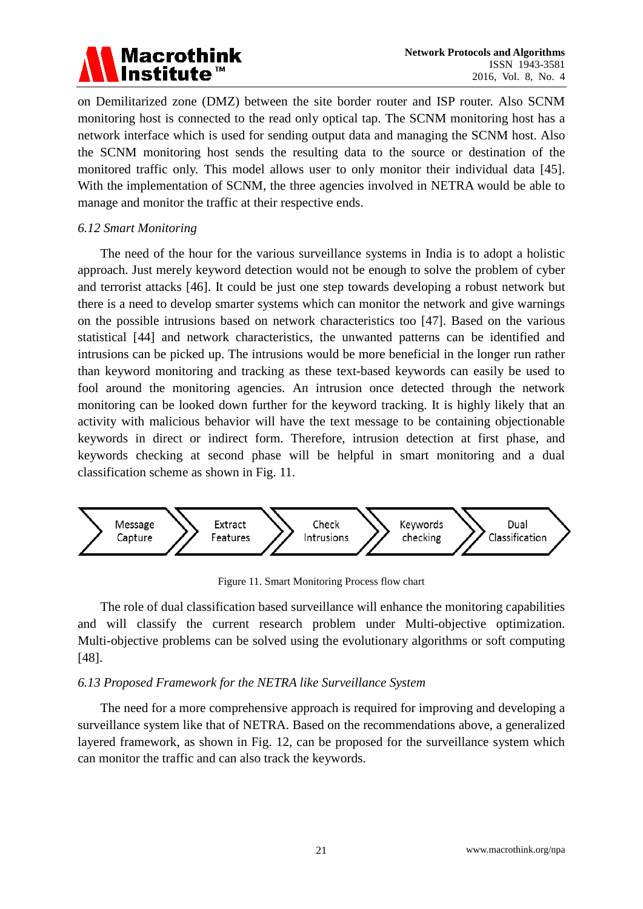# **Macrothink**

on Demilitarized zone (DMZ) between the site border router and ISP router. Also SCNM monitoring host is connected to the read only optical tap. The SCNM monitoring host has a network interface which is used for sending output data and managing the SCNM host. Also the SCNM monitoring host sends the resulting data to the source or destination of the monitored traffic only. This model allows user to only monitor their individual data [45]. With the implementation of SCNM, the three agencies involved in NETRA would be able to manage and monitor the traffic at their respective ends.

#### *6.12 Smart Monitoring*

The need of the hour for the various surveillance systems in India is to adopt a holistic approach. Just merely keyword detection would not be enough to solve the problem of cyber and terrorist attacks [46]. It could be just one step towards developing a robust network but there is a need to develop smarter systems which can monitor the network and give warnings on the possible intrusions based on network characteristics too [47]. Based on the various statistical [44] and network characteristics, the unwanted patterns can be identified and intrusions can be picked up. The intrusions would be more beneficial in the longer run rather than keyword monitoring and tracking as these text-based keywords can easily be used to fool around the monitoring agencies. An intrusion once detected through the network monitoring can be looked down further for the keyword tracking. It is highly likely that an activity with malicious behavior will have the text message to be containing objectionable keywords in direct or indirect form. Therefore, intrusion detection at first phase, and keywords checking at second phase will be helpful in smart monitoring and a dual classification scheme as shown in Fig. 11.



Figure 11. Smart Monitoring Process flow chart

The role of dual classification based surveillance will enhance the monitoring capabilities and will classify the current research problem under Multi-objective optimization. Multi-objective problems can be solved using the evolutionary algorithms or soft computing [48].

#### *6.13 Proposed Framework for the NETRA like Surveillance System*

The need for a more comprehensive approach is required for improving and developing a surveillance system like that of NETRA. Based on the recommendations above, a generalized layered framework, as shown in Fig. 12, can be proposed for the surveillance system which can monitor the traffic and can also track the keywords.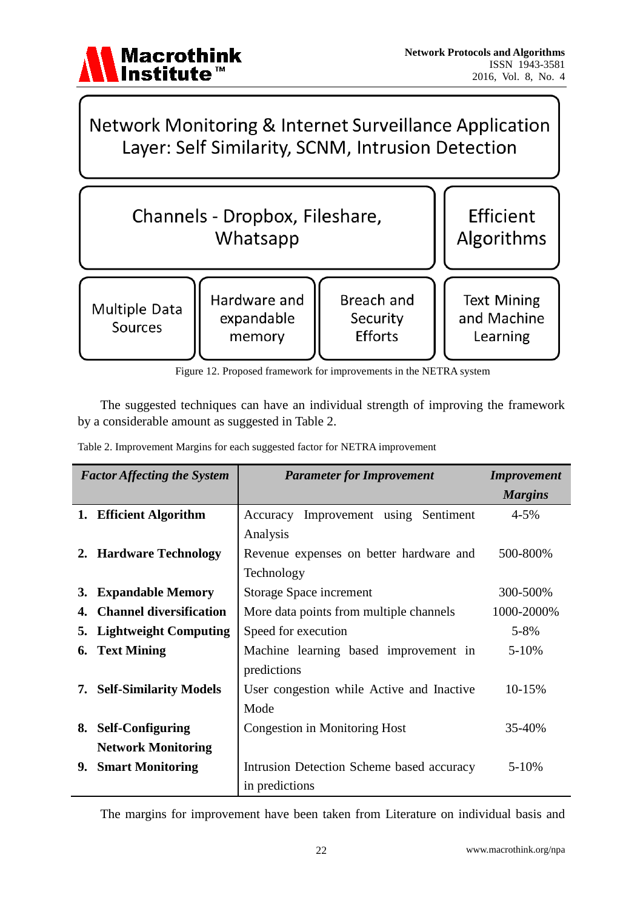

Network Monitoring & Internet Surveillance Application Layer: Self Similarity, SCNM, Intrusion Detection



Figure 12. Proposed framework for improvements in the NETRA system

The suggested techniques can have an individual strength of improving the framework by a considerable amount as suggested in Table 2.

| <b>Factor Affecting the System</b> |                                  | <b>Parameter for Improvement</b>                       | <b>Improvement</b> |  |
|------------------------------------|----------------------------------|--------------------------------------------------------|--------------------|--|
|                                    |                                  |                                                        | <b>Margins</b>     |  |
|                                    | 1. Efficient Algorithm           | Improvement using Sentiment<br>Accuracy                | $4 - 5\%$          |  |
|                                    |                                  | Analysis                                               |                    |  |
|                                    | 2. Hardware Technology           | Revenue expenses on better hardware and                | 500-800%           |  |
|                                    |                                  | Technology                                             |                    |  |
| 3.                                 | <b>Expandable Memory</b>         | Storage Space increment                                | 300-500%           |  |
| 4.                                 | <b>Channel diversification</b>   | More data points from multiple channels                | 1000-2000%         |  |
| 5.                                 | <b>Lightweight Computing</b>     | Speed for execution                                    | $5 - 8%$           |  |
| 6.                                 | <b>Text Mining</b>               | Machine learning based improvement in                  | $5 - 10%$          |  |
|                                    |                                  | predictions                                            |                    |  |
|                                    | <b>7. Self-Similarity Models</b> | User congestion while Active and Inactive              | 10-15%             |  |
|                                    |                                  | Mode                                                   |                    |  |
|                                    | 8. Self-Configuring              | Congestion in Monitoring Host                          | 35-40%             |  |
|                                    | <b>Network Monitoring</b>        |                                                        |                    |  |
|                                    | 9. Smart Monitoring              | Intrusion Detection Scheme based accuracy<br>$5 - 10%$ |                    |  |
|                                    |                                  | in predictions                                         |                    |  |

Table 2. Improvement Margins for each suggested factor for NETRA improvement

The margins for improvement have been taken from Literature on individual basis and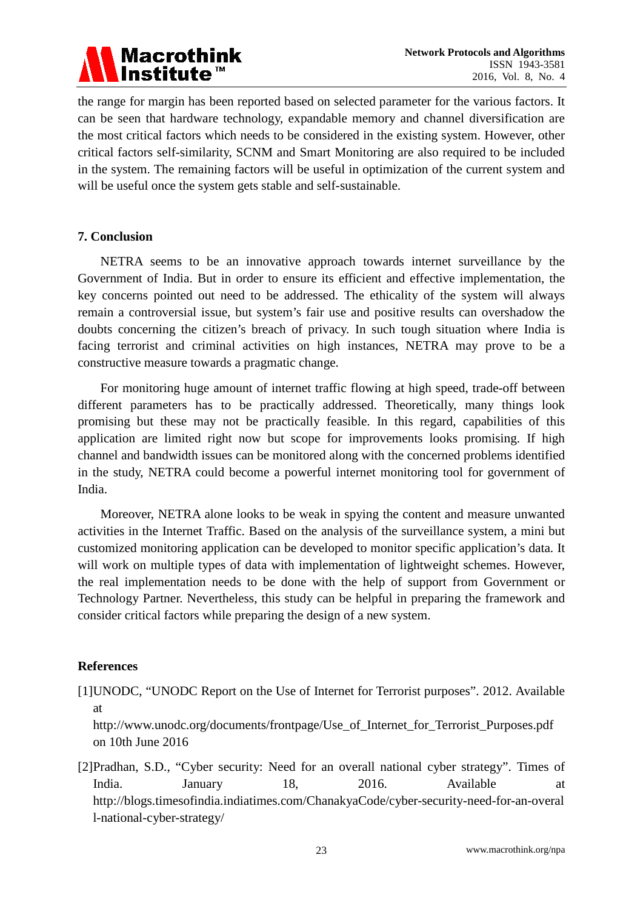### **Macrothink Institute**

the range for margin has been reported based on selected parameter for the various factors. It can be seen that hardware technology, expandable memory and channel diversification are the most critical factors which needs to be considered in the existing system. However, other critical factors self-similarity, SCNM and Smart Monitoring are also required to be included in the system. The remaining factors will be useful in optimization of the current system and will be useful once the system gets stable and self-sustainable.

#### **7. Conclusion**

NETRA seems to be an innovative approach towards internet surveillance by the Government of India. But in order to ensure its efficient and effective implementation, the key concerns pointed out need to be addressed. The ethicality of the system will always remain a controversial issue, but system's fair use and positive results can overshadow the doubts concerning the citizen's breach of privacy. In such tough situation where India is facing terrorist and criminal activities on high instances, NETRA may prove to be a constructive measure towards a pragmatic change.

For monitoring huge amount of internet traffic flowing at high speed, trade-off between different parameters has to be practically addressed. Theoretically, many things look promising but these may not be practically feasible. In this regard, capabilities of this application are limited right now but scope for improvements looks promising. If high channel and bandwidth issues can be monitored along with the concerned problems identified in the study, NETRA could become a powerful internet monitoring tool for government of India.

Moreover, NETRA alone looks to be weak in spying the content and measure unwanted activities in the Internet Traffic. Based on the analysis of the surveillance system, a mini but customized monitoring application can be developed to monitor specific application's data. It will work on multiple types of data with implementation of lightweight schemes. However, the real implementation needs to be done with the help of support from Government or Technology Partner. Nevertheless, this study can be helpful in preparing the framework and consider critical factors while preparing the design of a new system.

#### **References**

[1]UNODC, "UNODC Report on the Use of Internet for Terrorist purposes". 2012. Available at

http://www.unodc.org/documents/frontpage/Use\_of\_Internet\_for\_Terrorist\_Purposes.pdf on 10th June 2016

[2]Pradhan, S.D., "Cyber security: Need for an overall national cyber strategy". Times of India. January 18, 2016. Available at http://blogs.timesofindia.indiatimes.com/ChanakyaCode/cyber-security-need-for-an-overal l-national-cyber-strategy/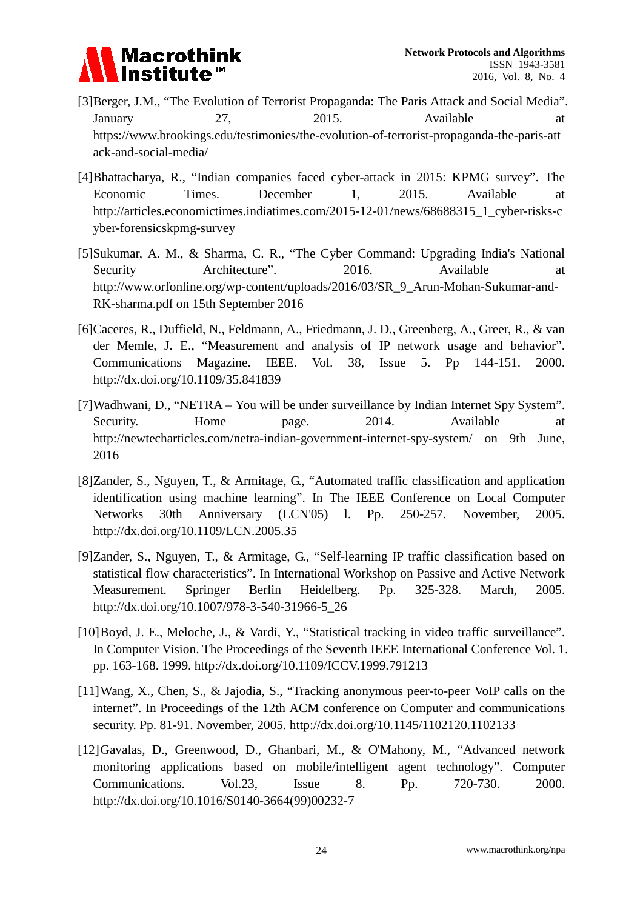

- [3]Berger, J.M., "The Evolution of Terrorist Propaganda: The Paris Attack and Social Media". January 27, 2015. Available at https://www.brookings.edu/testimonies/the-evolution-of-terrorist-propaganda-the-paris-att ack-and-social-media/
- [4]Bhattacharya, R., "Indian companies faced cyber-attack in 2015: KPMG survey". The Economic Times. December 1, 2015. Available at http://articles.economictimes.indiatimes.com/2015-12-01/news/68688315\_1\_cyber-risks-c yber-forensicskpmg-survey
- [5]Sukumar, A. M., & Sharma, C. R., "The Cyber Command: Upgrading India's National Security Architecture". 2016. Available at http://www.orfonline.org/wp-content/uploads/2016/03/SR\_9\_Arun-Mohan-Sukumar-and-RK-sharma.pdf on 15th September 2016
- [6]Caceres, R., Duffield, N., Feldmann, A., Friedmann, J. D., Greenberg, A., Greer, R., & van der Memle, J. E., "Measurement and analysis of IP network usage and behavior". Communications Magazine. IEEE. Vol. 38, Issue 5. Pp 144-151. 2000. http://dx.doi.org/10.1109/35.841839
- [7]Wadhwani, D., "NETRA You will be under surveillance by Indian Internet Spy System". Security. Home page. 2014. Available at http://newtecharticles.com/netra-indian-government-internet-spy-system/ on 9th June, 2016
- [8]Zander, S., Nguyen, T., & Armitage, G., "Automated traffic classification and application identification using machine learning". In The IEEE Conference on Local Computer Networks 30th Anniversary (LCN'05) l. Pp. 250-257. November, 2005. http://dx.doi.org/10.1109/LCN.2005.35
- [9]Zander, S., Nguyen, T., & Armitage, G., "Self-learning IP traffic classification based on statistical flow characteristics". In International Workshop on Passive and Active Network Measurement. Springer Berlin Heidelberg. Pp. 325-328. March, 2005. http://dx.doi.org/10.1007/978-3-540-31966-5\_26
- [10]Boyd, J. E., Meloche, J., & Vardi, Y., "Statistical tracking in video traffic surveillance". In Computer Vision. The Proceedings of the Seventh IEEE International Conference Vol. 1. pp. 163-168. 1999. http://dx.doi.org/10.1109/ICCV.1999.791213
- [11]Wang, X., Chen, S., & Jajodia, S., "Tracking anonymous peer-to-peer VoIP calls on the internet". In Proceedings of the 12th ACM conference on Computer and communications security. Pp. 81-91. November, 2005. http://dx.doi.org/10.1145/1102120.1102133
- [12]Gavalas, D., Greenwood, D., Ghanbari, M., & O'Mahony, M., "Advanced network monitoring applications based on mobile/intelligent agent technology". Computer Communications. Vol.23, Issue 8. Pp. 720-730. 2000. http://dx.doi.org/10.1016/S0140-3664(99)00232-7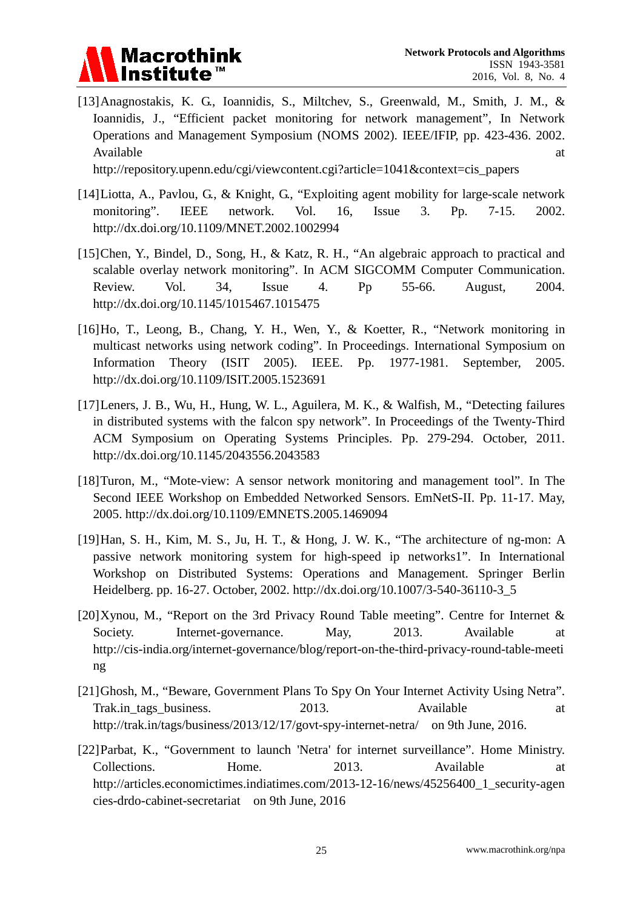

[13]Anagnostakis, K. G., Ioannidis, S., Miltchev, S., Greenwald, M., Smith, J. M., & Ioannidis, J., "Efficient packet monitoring for network management", In Network Operations and Management Symposium (NOMS 2002). IEEE/IFIP, pp. 423-436. 2002. Available at a structure of the structure of the structure of the structure of the structure of the structure of the structure of the structure of the structure of the structure of the structure of the structure of the str

http://repository.upenn.edu/cgi/viewcontent.cgi?article=1041&context=cis\_papers

- [14]Liotta, A., Pavlou, G., & Knight, G., "Exploiting agent mobility for large-scale network monitoring". IEEE network. Vol. 16, Issue 3. Pp. 7-15. 2002. http://dx.doi.org/10.1109/MNET.2002.1002994
- [15]Chen, Y., Bindel, D., Song, H., & Katz, R. H., "An algebraic approach to practical and scalable overlay network monitoring". In ACM SIGCOMM Computer Communication. Review. Vol. 34, Issue 4. Pp 55-66. August, 2004. http://dx.doi.org/10.1145/1015467.1015475
- [16]Ho, T., Leong, B., Chang, Y. H., Wen, Y., & Koetter, R., "Network monitoring in multicast networks using network coding". In Proceedings. International Symposium on Information Theory (ISIT 2005). IEEE. Pp. 1977-1981. September, 2005. http://dx.doi.org/10.1109/ISIT.2005.1523691
- [17]Leners, J. B., Wu, H., Hung, W. L., Aguilera, M. K., & Walfish, M., "Detecting failures in distributed systems with the falcon spy network". In Proceedings of the Twenty-Third ACM Symposium on Operating Systems Principles. Pp. 279-294. October, 2011. http://dx.doi.org/10.1145/2043556.2043583
- [18]Turon, M., "Mote-view: A sensor network monitoring and management tool". In The Second IEEE Workshop on Embedded Networked Sensors. EmNetS-II. Pp. 11-17. May, 2005. http://dx.doi.org/10.1109/EMNETS.2005.1469094
- [19]Han, S. H., Kim, M. S., Ju, H. T., & Hong, J. W. K., "The architecture of ng-mon: A passive network monitoring system for high-speed ip networks1". In International Workshop on Distributed Systems: Operations and Management. Springer Berlin Heidelberg. pp. 16-27. October, 2002. http://dx.doi.org/10.1007/3-540-36110-3\_5
- [20]Xynou, M., "Report on the 3rd Privacy Round Table meeting". Centre for Internet & Society. Internet-governance. May, 2013. Available at http://cis-india.org/internet-governance/blog/report-on-the-third-privacy-round-table-meeti ng
- [21]Ghosh, M., "Beware, Government Plans To Spy On Your Internet Activity Using Netra". Trak.in tags business. 2013. Available at at http://trak.in/tags/business/2013/12/17/govt-spy-internet-netra/ on 9th June, 2016.
- [22]Parbat, K., "Government to launch 'Netra' for internet surveillance". Home Ministry. Collections. Home. 2013. Available at http://articles.economictimes.indiatimes.com/2013-12-16/news/45256400\_1\_security-agen cies-drdo-cabinet-secretariat on 9th June, 2016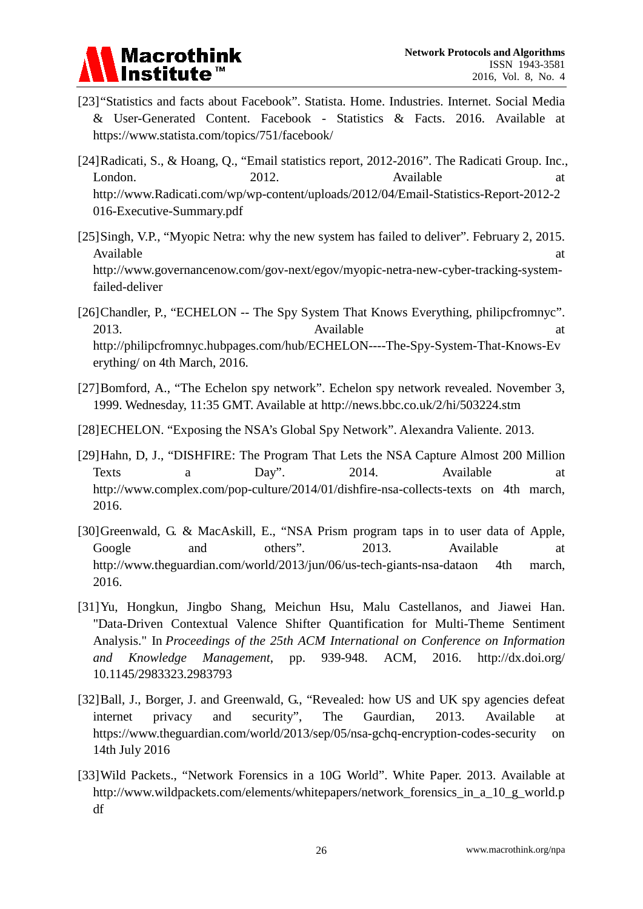

- [23]"Statistics and facts about Facebook". Statista. Home. Industries. Internet. Social Media & User-Generated Content. Facebook - Statistics & Facts. 2016. Available at https://www.statista.com/topics/751/facebook/
- [24]Radicati, S., & Hoang, O., "Email statistics report, 2012-2016". The Radicati Group. Inc., London. 2012. Available at http://www.Radicati.com/wp/wp-content/uploads/2012/04/Email-Statistics-Report-2012-2 016-Executive-Summary.pdf
- [25]Singh, V.P., "Myopic Netra: why the new system has failed to deliver". February 2, 2015. Available at a structure of the structure of the structure of the structure of the structure of the structure of the structure of the structure of the structure of the structure of the structure of the structure of the str http://www.governancenow.com/gov-next/egov/myopic-netra-new-cyber-tracking-systemfailed-deliver
- [26]Chandler, P., "ECHELON -- The Spy System That Knows Everything, philipcfromnyc". 2013. Available at Available at a state of the state at a state at a state at a state at a state at a state at a state at a state at a state at a state at a state at a state at a state at a state at a state at a state at a http://philipcfromnyc.hubpages.com/hub/ECHELON----The-Spy-System-That-Knows-Ev erything/ on 4th March, 2016.
- [27]Bomford, A., "The Echelon spy network". Echelon spy network revealed. November 3, 1999. Wednesday, 11:35 GMT. Available at http://news.bbc.co.uk/2/hi/503224.stm
- [28]ECHELON. "Exposing the NSA's Global Spy Network". Alexandra Valiente. 2013.
- [29]Hahn, D, J., "DISHFIRE: The Program That Lets the NSA Capture Almost 200 Million Texts a Day". 2014. Available at http://www.complex.com/pop-culture/2014/01/dishfire-nsa-collects-texts on 4th march, 2016.
- [30]Greenwald, G. & MacAskill, E., "NSA Prism program taps in to user data of Apple, Google and others". 2013. Available at http://www.theguardian.com/world/2013/jun/06/us-tech-giants-nsa-dataon 4th march, 2016.
- [31]Yu, Hongkun, Jingbo Shang, Meichun Hsu, Malu Castellanos, and Jiawei Han. "Data-Driven Contextual Valence Shifter Quantification for Multi-Theme Sentiment Analysis." In *Proceedings of the 25th ACM International on Conference on Information and Knowledge Management*, pp. 939-948. ACM, 2016. http://dx.doi.org/ 10.1145/2983323.2983793
- [32]Ball, J., Borger, J. and Greenwald, G., "Revealed: how US and UK spy agencies defeat internet privacy and security", The Gaurdian, 2013. Available at https://www.theguardian.com/world/2013/sep/05/nsa-gchq-encryption-codes-security on 14th July 2016
- [33] Wild Packets., "Network Forensics in a 10G World". White Paper. 2013. Available at http://www.wildpackets.com/elements/whitepapers/network\_forensics\_in\_a\_10\_g\_world.p df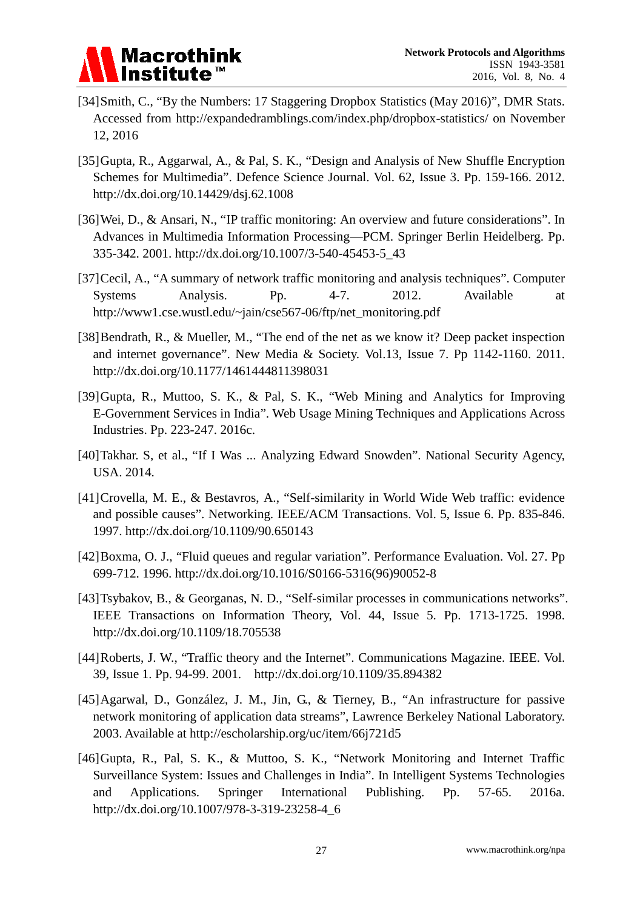- [34]Smith, C., "By the Numbers: 17 Staggering Dropbox Statistics (May 2016)", DMR Stats. Accessed from http://expandedramblings.com/index.php/dropbox-statistics/ on November 12, 2016
- [35]Gupta, R., Aggarwal, A., & Pal, S. K., "Design and Analysis of New Shuffle Encryption Schemes for Multimedia". Defence Science Journal. Vol. 62, Issue 3. Pp. 159-166. 2012. http://dx.doi.org/10.14429/dsj.62.1008
- [36]Wei, D., & Ansari, N., "IP traffic monitoring: An overview and future considerations". In Advances in Multimedia Information Processing—PCM. Springer Berlin Heidelberg. Pp. 335-342. 2001. http://dx.doi.org/10.1007/3-540-45453-5\_43
- [37]Cecil, A., "A summary of network traffic monitoring and analysis techniques". Computer Systems Analysis. Pp. 4-7. 2012. Available at http://www1.cse.wustl.edu/~jain/cse567-06/ftp/net\_monitoring.pdf
- [38] Bendrath, R., & Mueller, M., "The end of the net as we know it? Deep packet inspection and internet governance". New Media & Society. Vol.13, Issue 7. Pp 1142-1160. 2011. http://dx.doi.org/10.1177/1461444811398031
- [39]Gupta, R., Muttoo, S. K., & Pal, S. K., "Web Mining and Analytics for Improving E-Government Services in India". Web Usage Mining Techniques and Applications Across Industries. Pp. 223-247. 2016c.
- [40]Takhar. S, et al., "If I Was ... Analyzing Edward Snowden". National Security Agency, USA. 2014.
- [41]Crovella, M. E., & Bestavros, A., "Self-similarity in World Wide Web traffic: evidence and possible causes". Networking. IEEE/ACM Transactions. Vol. 5, Issue 6. Pp. 835-846. 1997. http://dx.doi.org/10.1109/90.650143
- [42]Boxma, O. J., "Fluid queues and regular variation". Performance Evaluation. Vol. 27. Pp 699-712. 1996. http://dx.doi.org/10.1016/S0166-5316(96)90052-8
- [43]Tsybakov, B., & Georganas, N. D., "Self-similar processes in communications networks". IEEE Transactions on Information Theory, Vol. 44, Issue 5. Pp. 1713-1725. 1998. http://dx.doi.org/10.1109/18.705538
- [44]Roberts, J. W., "Traffic theory and the Internet". Communications Magazine. IEEE. Vol. 39, Issue 1. Pp. 94-99. 2001. http://dx.doi.org/10.1109/35.894382
- [45]Agarwal, D., González, J. M., Jin, G., & Tierney, B., "An infrastructure for passive network monitoring of application data streams", Lawrence Berkeley National Laboratory. 2003. Available at http://escholarship.org/uc/item/66j721d5
- [46]Gupta, R., Pal, S. K., & Muttoo, S. K., "Network Monitoring and Internet Traffic Surveillance System: Issues and Challenges in India". In Intelligent Systems Technologies and Applications. Springer International Publishing. Pp. 57-65. 2016a. http://dx.doi.org/10.1007/978-3-319-23258-4\_6